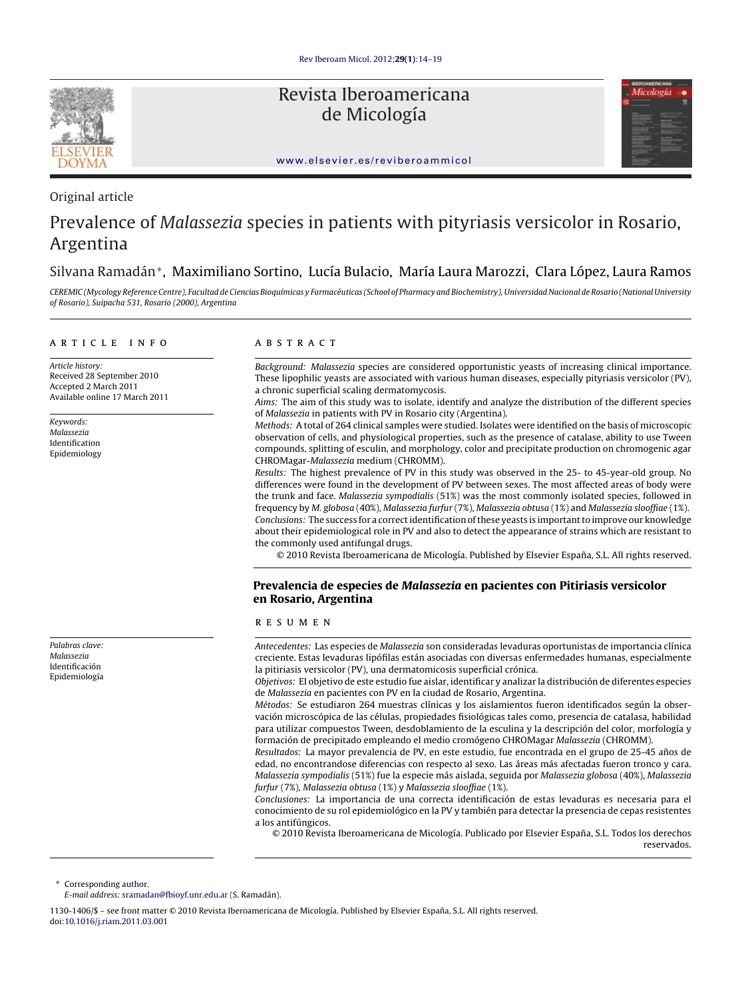

# Revista Iberoamericana de Micología



# [www.elsevier.es/reviberoammicol](http://www.elsevier.es/reviberoammicol)

# Original article

# Prevalence of Malassezia species in patients with pityriasis versicolor in Rosario, Argentina

# Silvana Ramadán∗, Maximiliano Sortino, Lucía Bulacio, María Laura Marozzi, Clara López, Laura Ramos

CEREMIC (Mycology Reference Centre), Facultad de Ciencias Bioquímicas y Farmacéuticas (School of Pharmacy and Biochemistry), Universidad Nacional de Rosario (National University of Rosario), Suipacha 531, Rosario (2000), Argentina

# a r t i c l e i n f o

Article history: Received 28 September 2010 Accepted 2 March 2011 Available online 17 March 2011

Keywords: Malassezia Identification Epidemiology

Palabras clave: Malassezia Identificación Epidemiología

# A B S T R A C T

Background: Malassezia species are considered opportunistic yeasts of increasing clinical importance. These lipophilic yeasts are associated with various human diseases, especially pityriasis versicolor (PV), a chronic superficial scaling dermatomycosis.

Aims: The aim of this study was to isolate, identify and analyze the distribution of the different species of Malassezia in patients with PV in Rosario city (Argentina).

Methods: A total of 264 clinical samples were studied. Isolates were identified on the basis of microscopic observation of cells, and physiological properties, such as the presence of catalase, ability to use Tween compounds, splitting of esculin, and morphology, color and precipitate production on chromogenic agar CHROMagar-Malassezia medium (CHROMM).

Results: The highest prevalence of PV in this study was observed in the 25- to 45-year-old group. No differences were found in the development of PV between sexes. The most affected areas of body were the trunk and face. Malassezia sympodialis (51%) was the most commonly isolated species, followed in frequency by M. globosa (40%), Malassezia furfur (7%), Malassezia obtusa (1%) and Malassezia slooffiae (1%). Conclusions: The success for a correct identification of these yeasts is important to improve our knowledge about their epidemiological role in PV and also to detect the appearance of strains which are resistant to the commonly used antifungal drugs.

© 2010 Revista Iberoamericana de Micología. Published by Elsevier España, S.L. All rights reserved.

# **Prevalencia de especies de Malassezia en pacientes con Pitiriasis versicolor en Rosario, Argentina**

## r e s u m e n

Antecedentes: Las especies de Malassezia son consideradas levaduras oportunistas de importancia clínica creciente. Estas levaduras lipófilas están asociadas con diversas enfermedades humanas, especialmente la pitiriasis versicolor (PV), una dermatomicosis superficial crónica.

Objetivos: El objetivo de este estudio fue aislar, identificar y analizar la distribución de diferentes especies de Malassezia en pacientes con PV en la ciudad de Rosario, Argentina.

Métodos: Se estudiaron 264 muestras clínicas y los aislamientos fueron identificados según la observación microscópica de las células, propiedades fisiológicas tales como, presencia de catalasa, habilidad para utilizar compuestos Tween, desdoblamiento de la esculina y la descripción del color, morfología y formación de precipitado empleando el medio cromógeno CHROMagar Malassezia (CHROMM).

Resultados: La mayor prevalencia de PV, en este estudio, fue encontrada en el grupo de 25-45 años de edad, no encontrandose diferencias con respecto al sexo. Las áreas más afectadas fueron tronco y cara. Malassezia sympodialis (51%) fue la especie más aislada, seguida por Malassezia globosa (40%), Malassezia furfur (7%), Malassezia obtusa (1%) y Malassezia slooffiae (1%).

Conclusiones: La importancia de una correcta identificación de estas levaduras es necesaria para el conocimiento de su rol epidemiológico en la PV y también para detectar la presencia de cepas resistentes a los antifúngicos.

© 2010 Revista Iberoamericana de Micología. Publicado por Elsevier España, S.L. Todos los derechos reservados.

Corresponding author.

E-mail address: [sramadan@fbioyf.unr.edu.ar](mailto:sramadan@fbioyf.unr.edu.ar) (S. Ramadán).

1130-1406/\$ – see front matter © 2010 Revista Iberoamericana de Micología. Published by Elsevier España, S.L. All rights reserved. doi:[10.1016/j.riam.2011.03.001](dx.doi.org/10.1016/j.riam.2011.03.001)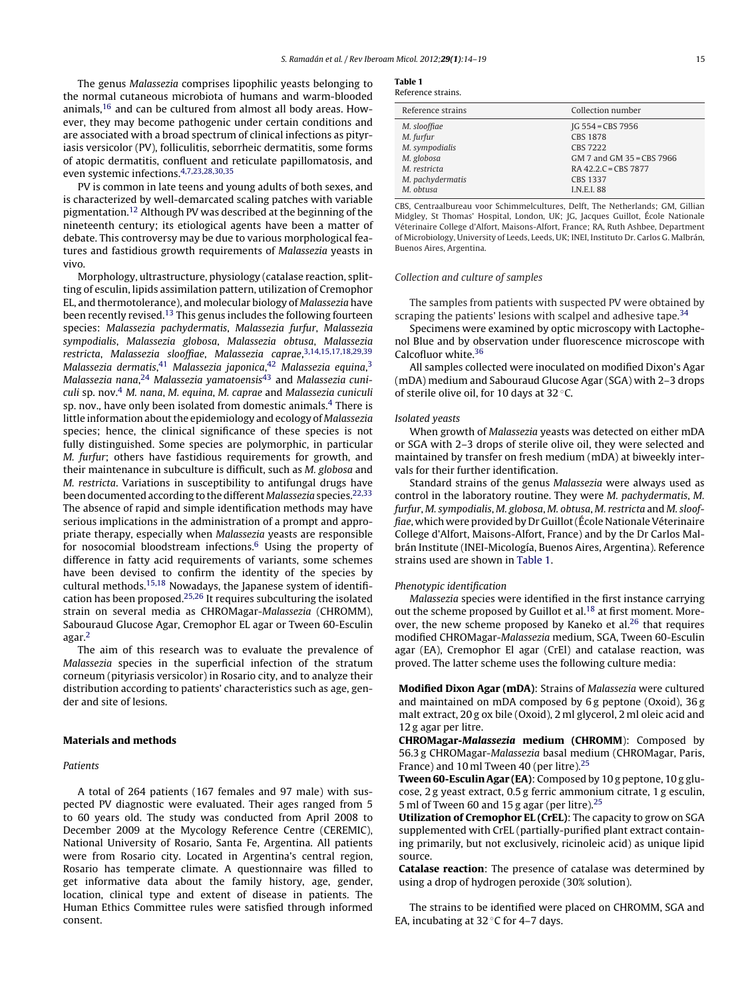The genus Malassezia comprises lipophilic yeasts belonging to the normal cutaneous microbiota of humans and warm-blooded animals,[16](#page-5-0) and can be cultured from almost all body areas. However, they may become pathogenic under certain conditions and are associated with a broad spectrum of clinical infections as pityriasis versicolor (PV), folliculitis, seborrheic dermatitis, some forms of atopic dermatitis, confluent and reticulate papillomatosis, and even systemic infections[.4,7,23,28,30,35](#page-4-0)

PV is common in late teens and young adults of both sexes, and is characterized by well-demarcated scaling patches with variable pigmentation[.12](#page-4-0) Although PV was described at the beginning of the nineteenth century; its etiological agents have been a matter of debate. This controversy may be due to various morphological features and fastidious growth requirements of Malassezia yeasts in vivo.

Morphology, ultrastructure, physiology (catalase reaction, splitting of esculin, lipids assimilation pattern, utilization of Cremophor EL, and thermotolerance), and molecular biology of Malassezia have been recently revised[.13](#page-4-0) This genus includes the following fourteen species: Malassezia pachydermatis, Malassezia furfur, Malassezia sympodialis, Malassezia globosa, Malassezia obtusa, Malassezia restricta, Malassezia slooffiae, Malassezia caprae, [3,14,15,17,18,29,39](#page-4-0) Malassezia dermatis, [41](#page-5-0) Malassezia japonica, [42](#page-5-0) Malassezia equina, [3](#page-4-0) Malassezia nana, [24](#page-5-0) Malassezia yamatoensis[43](#page-5-0) and Malassezia cuniculi sp. nov[.4](#page-4-0) M. nana, M. equina, M. caprae and Malassezia cuniculi sp. nov., have only been isolated from domestic animals.<sup>[4](#page-4-0)</sup> There is little information about the epidemiology and ecology of Malassezia species; hence, the clinical significance of these species is not fully distinguished. Some species are polymorphic, in particular M. furfur; others have fastidious requirements for growth, and their maintenance in subculture is difficult, such as M. globosa and M. restricta. Variations in susceptibility to antifungal drugs have been documented according to the different Malassezia species.<sup>[22,33](#page-5-0)</sup> The absence of rapid and simple identification methods may have serious implications in the administration of a prompt and appropriate therapy, especially when Malassezia yeasts are responsible for nosocomial bloodstream infections.<sup>[6](#page-4-0)</sup> Using the property of difference in fatty acid requirements of variants, some schemes have been devised to confirm the identity of the species by cultural methods[.15,18](#page-4-0) Nowadays, the Japanese system of identification has been proposed.[25,26](#page-5-0) It requires subculturing the isolated strain on several media as CHROMagar-Malassezia (CHROMM), Sabouraud Glucose Agar, Cremophor EL agar or Tween 60-Esculin agar[.2](#page-4-0)

The aim of this research was to evaluate the prevalence of Malassezia species in the superficial infection of the stratum corneum (pityriasis versicolor) in Rosario city, and to analyze their distribution according to patients' characteristics such as age, gender and site of lesions.

#### **Materials and methods**

# Patients

A total of 264 patients (167 females and 97 male) with suspected PV diagnostic were evaluated. Their ages ranged from 5 to 60 years old. The study was conducted from April 2008 to December 2009 at the Mycology Reference Centre (CEREMIC), National University of Rosario, Santa Fe, Argentina. All patients were from Rosario city. Located in Argentina's central region, Rosario has temperate climate. A questionnaire was filled to get informative data about the family history, age, gender, location, clinical type and extent of disease in patients. The Human Ethics Committee rules were satisfied through informed consent.

**Table 1** Reference strains.

| Reference strains                                                                             | Collection number                                                                                                                 |
|-----------------------------------------------------------------------------------------------|-----------------------------------------------------------------------------------------------------------------------------------|
| M. slooffiae<br>M. furfur<br>M. sympodialis<br>M. globosa<br>M. restricta<br>M. pachydermatis | $IG 554 = CBS 7956$<br><b>CBS 1878</b><br><b>CBS 7222</b><br>GM 7 and GM 35 = CBS 7966<br>RA 42.2.C = CBS 7877<br><b>CBS 1337</b> |
| M. obtusa                                                                                     | <b>I.N.E.I.88</b>                                                                                                                 |

CBS, Centraalbureau voor Schimmelcultures, Delft, The Netherlands; GM, Gillian Midgley, St Thomas' Hospital, London, UK; JG, Jacques Guillot, École Nationale Véterinaire College d'Alfort, Maisons-Alfort, France; RA, Ruth Ashbee, Department of Microbiology, University of Leeds, Leeds, UK; INEI, Instituto Dr. Carlos G. Malbrán, Buenos Aires, Argentina.

#### Collection and culture of samples

The samples from patients with suspected PV were obtained by scraping the patients' lesions with scalpel and adhesive tape.<sup>34</sup>

Specimens were examined by optic microscopy with Lactophenol Blue and by observation under fluorescence microscope with Calcofluor white.[36](#page-5-0)

All samples collected were inoculated on modified Dixon's Agar (mDA) medium and Sabouraud Glucose Agar (SGA) with 2–3 drops of sterile olive oil, for 10 days at 32 ◦C.

#### Isolated yeasts

When growth of Malassezia yeasts was detected on either mDA or SGA with 2–3 drops of sterile olive oil, they were selected and maintained by transfer on fresh medium (mDA) at biweekly intervals for their further identification.

Standard strains of the genus Malassezia were always used as control in the laboratory routine. They were M. pachydermatis, M. furfur, M. sympodialis, M. globosa, M. obtusa, M. restricta and M. slooffiae, which were provided by Dr Guillot (École Nationale Véterinaire College d'Alfort, Maisons-Alfort, France) and by the Dr Carlos Malbrán Institute (INEI-Micología, Buenos Aires, Argentina). Reference strains used are shown in Table 1.

#### Phenotypic identification

Malassezia species were identified in the first instance carrying out the scheme proposed by Guillot et al.<sup>18</sup> at first moment. More-over, the new scheme proposed by Kaneko et al.<sup>[26](#page-5-0)</sup> that requires modified CHROMagar-Malassezia medium, SGA, Tween 60-Esculin agar (EA), Cremophor El agar (CrEl) and catalase reaction, was proved. The latter scheme uses the following culture media:

**Modified Dixon Agar (mDA)**: Strains of Malassezia were cultured and maintained on mDA composed by 6 g peptone (Oxoid), 36 g malt extract, 20 g ox bile (Oxoid), 2 ml glycerol, 2 ml oleic acid and 12 g agar per litre.

**CHROMagar-Malassezia medium (CHROMM**): Composed by 56.3 g CHROMagar-Malassezia basal medium (CHROMagar, Paris, France) and 10 ml Tween 40 (per litre).<sup>25</sup>

**Tween 60-Esculin Agar (EA)**: Composed by 10 g peptone, 10 g glucose, 2 g yeast extract, 0.5 g ferric ammonium citrate, 1 g esculin, 5 ml of Tween 60 and 15 g agar (per litre). $25$ 

**Utilization of Cremophor EL (CrEL)**: The capacity to grow on SGA supplemented with CrEL (partially-purified plant extract containing primarily, but not exclusively, ricinoleic acid) as unique lipid source.

**Catalase reaction**: The presence of catalase was determined by using a drop of hydrogen peroxide (30% solution).

The strains to be identified were placed on CHROMM, SGA and EA, incubating at  $32^{\circ}$ C for 4–7 days.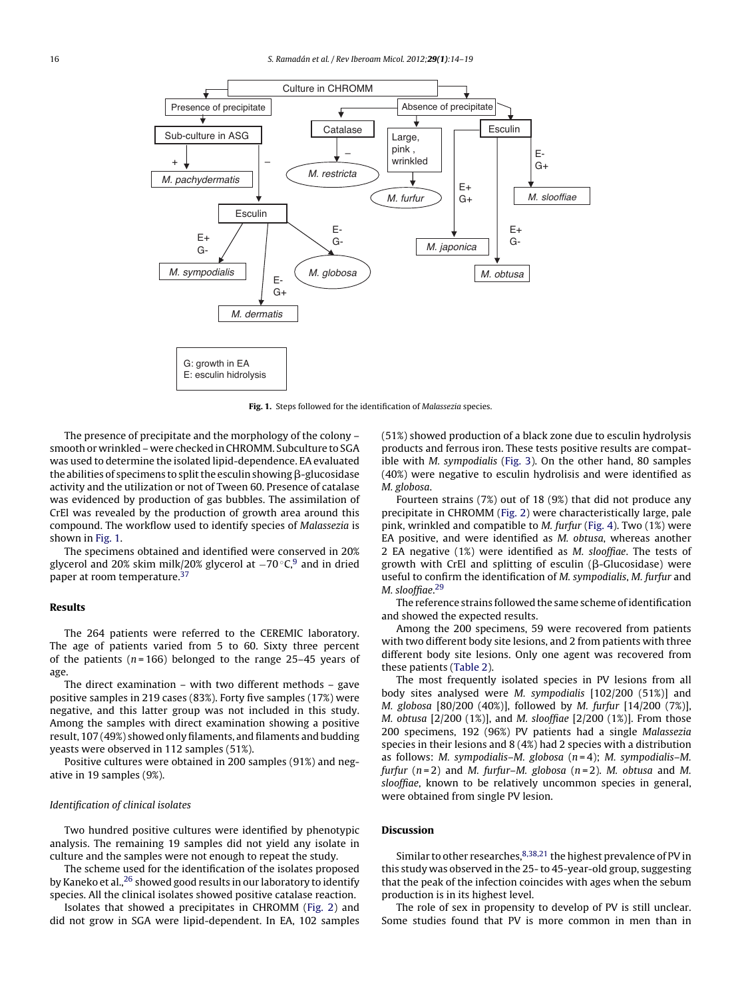

**Fig. 1.** Steps followed for the identification of Malassezia species.

The presence of precipitate and the morphology of the colony – smooth or wrinkled – were checked in CHROMM. Subculture to SGA was used to determine the isolated lipid-dependence. EA evaluated the abilities of specimens to split the esculin showing  $\beta$ -glucosidase activity and the utilization or not of Tween 60. Presence of catalase was evidenced by production of gas bubbles. The assimilation of CrEl was revealed by the production of growth area around this compound. The workflow used to identify species of Malassezia is shown in Fig. 1.

The specimens obtained and identified were conserved in 20% glycerol and 20% skim milk/20% glycerol at  $-70^{\circ}$ C,<sup>9</sup> and in dried paper at room temperature.[37](#page-5-0)

# **Results**

The 264 patients were referred to the CEREMIC laboratory. The age of patients varied from 5 to 60. Sixty three percent of the patients ( $n = 166$ ) belonged to the range 25–45 years of age.

The direct examination – with two different methods – gave positive samples in 219 cases (83%). Forty five samples (17%) were negative, and this latter group was not included in this study. Among the samples with direct examination showing a positive result, 107 (49%) showed only filaments, and filaments and budding yeasts were observed in 112 samples (51%).

Positive cultures were obtained in 200 samples (91%) and negative in 19 samples (9%).

#### Identification of clinical isolates

Two hundred positive cultures were identified by phenotypic analysis. The remaining 19 samples did not yield any isolate in culture and the samples were not enough to repeat the study.

The scheme used for the identification of the isolates proposed by Kaneko et al., 26 showed good results in our laboratory to identify species. All the clinical isolates showed positive catalase reaction.

Isolates that showed a precipitates in CHROMM [\(Fig.](#page-3-0) 2) and did not grow in SGA were lipid-dependent. In EA, 102 samples (51%) showed production of a black zone due to esculin hydrolysis products and ferrous iron. These tests positive results are compatible with M. sympodialis ([Fig.](#page-3-0) 3). On the other hand, 80 samples (40%) were negative to esculin hydrolisis and were identified as M. globosa.

Fourteen strains (7%) out of 18 (9%) that did not produce any precipitate in CHROMM [\(Fig.](#page-3-0) [2\)](#page-3-0) were characteristically large, pale pink, wrinkled and compatible to M. furfur [\(Fig.](#page-4-0) [4\).](#page-4-0) Two (1%) were EA positive, and were identified as M. obtusa, whereas another 2 EA negative (1%) were identified as M. slooffiae. The tests of growth with CrEl and splitting of esculin ( $\beta$ -Glucosidase) were useful to confirm the identification of M. sympodialis, M. furfur and M. slooffiae.<sup>[29](#page-5-0)</sup>

The reference strains followed the same scheme of identification and showed the expected results.

Among the 200 specimens, 59 were recovered from patients with two different body site lesions, and 2 from patients with three different body site lesions. Only one agent was recovered from these patients [\(Table](#page-3-0) [2\).](#page-3-0)

The most frequently isolated species in PV lesions from all body sites analysed were M. sympodialis [102/200 (51%)] and M. globosa [80/200 (40%)], followed by M. furfur [14/200 (7%)], M. obtusa [2/200 (1%)], and M. slooffiae [2/200 (1%)]. From those 200 specimens, 192 (96%) PV patients had a single Malassezia species in their lesions and 8 (4%) had 2 species with a distribution as follows: M. sympodialis–M. globosa  $(n=4)$ ; M. sympodialis–M. furfur  $(n=2)$  and M. furfur–M. globosa  $(n=2)$ . M. obtusa and M. slooffiae, known to be relatively uncommon species in general, were obtained from single PV lesion.

## **Discussion**

Similar to other researches,  $8,38,21$  the highest prevalence of PV in this study was observed in the 25- to 45-year-old group, suggesting that the peak of the infection coincides with ages when the sebum production is in its highest level.

The role of sex in propensity to develop of PV is still unclear. Some studies found that PV is more common in men than in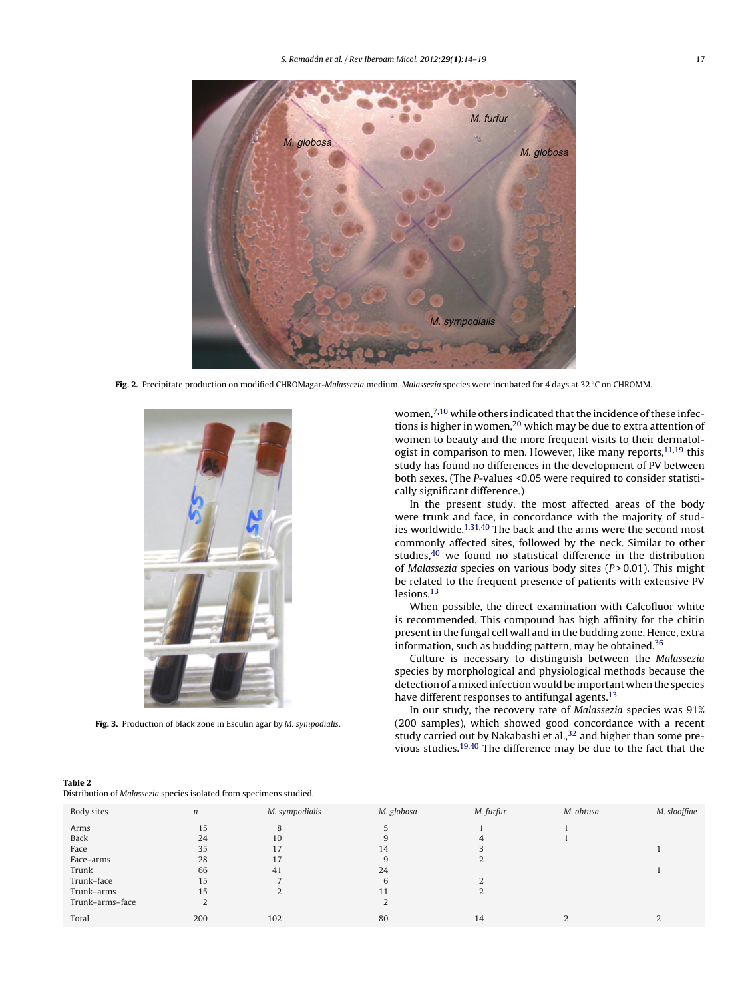<span id="page-3-0"></span>

**Fig. 2.** Precipitate production on modified CHROMagar**-**Malassezia medium. Malassezia species were incubated for 4 days at 32 ◦C on CHROMM.



**Fig. 3.** Production of black zone in Esculin agar by M. sympodialis.

**Table 2** Distribution of Malassezia species isolated from specimens studied.

women,<sup>7,10</sup> while others indicated that the incidence of these infec-tions is higher in women,<sup>[20](#page-5-0)</sup> which may be due to extra attention of women to beauty and the more frequent visits to their dermatologist in comparison to men. However, like many reports,  $11,19$  this study has found no differences in the development of PV between both sexes. (The P-values <0.05 were required to consider statistically significant difference.)

In the present study, the most affected areas of the body were trunk and face, in concordance with the majority of studies worldwide.<sup>1,31,40</sup> The back and the arms were the second most commonly affected sites, followed by the neck. Similar to other studies[,40](#page-5-0) we found no statistical difference in the distribution of Malassezia species on various body sites  $(P > 0.01)$ . This might be related to the frequent presence of patients with extensive PV lesions.[13](#page-4-0)

When possible, the direct examination with Calcofluor white is recommended. This compound has high affinity for the chitin presentin the fungal cell wall and in the budding zone. Hence, extra information, such as budding pattern, may be obtained.<sup>36</sup>

Culture is necessary to distinguish between the Malassezia species by morphological and physiological methods because the detection of a mixed infection would be important when the species have different responses to antifungal agents. $13$ 

In our study, the recovery rate of Malassezia species was 91% (200 samples), which showed good concordance with a recent study carried out by Nakabashi et al., $32$  and higher than some previous studies.[19,40](#page-5-0) The difference may be due to the fact that the

| Body sites      | $\boldsymbol{n}$ | M. sympodialis | M. globosa | M. furfur | M. obtusa | M. slooffiae |
|-----------------|------------------|----------------|------------|-----------|-----------|--------------|
| Arms            | 15               | 8              |            |           |           |              |
| Back            | 24               | 10             |            |           |           |              |
| Face            | 35               | 17             | 14         |           |           |              |
| Face-arms       | 28               | 17             |            |           |           |              |
| Trunk           | 66               | 41             | 24         |           |           |              |
| Trunk-face      | 15               |                |            |           |           |              |
| Trunk-arms      | 15               |                |            |           |           |              |
| Trunk-arms-face | ∠                |                |            |           |           |              |
| Total           | 200              | 102            | 80         | 14        |           |              |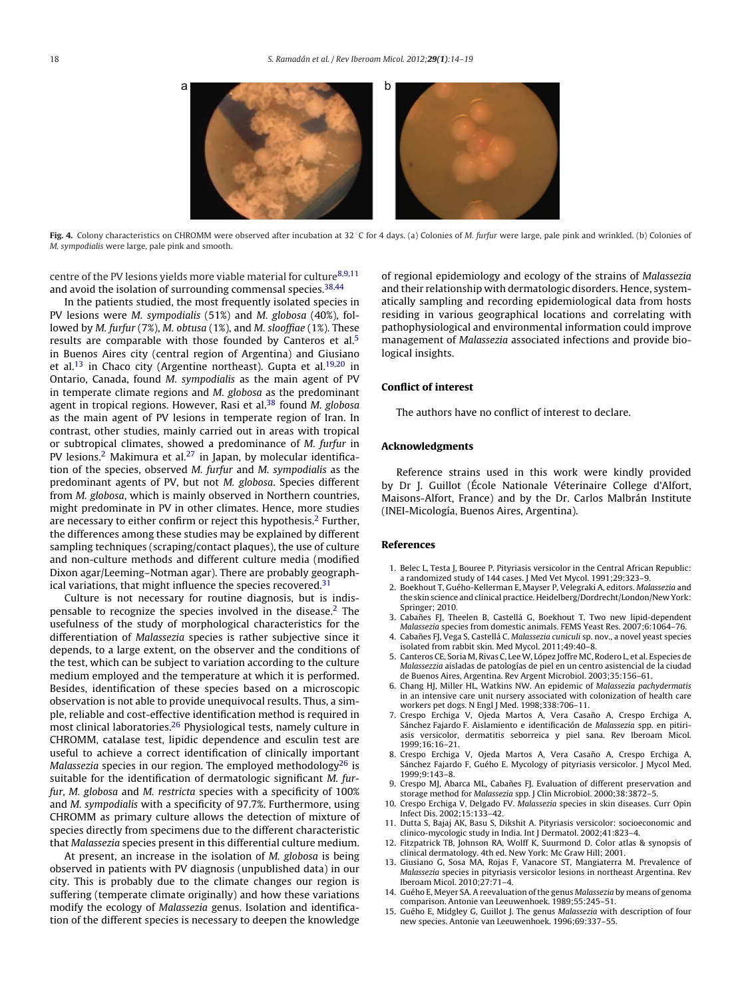<span id="page-4-0"></span>

**Fig. 4.** Colony characteristics on CHROMM were observed after incubation at 32 ℃ for 4 days. (a) Colonies of M. furfur were large, pale pink and wrinkled. (b) Colonies of M. sympodialis were large, pale pink and smooth.

centre of the PV lesions yields more viable material for culture<sup>8,9,11</sup> and avoid the isolation of surrounding commensal species.<sup>[38,44](#page-5-0)</sup>

In the patients studied, the most frequently isolated species in PV lesions were M. sympodialis (51%) and M. globosa (40%), followed by M. furfur (7%), M. obtusa (1%), and M. slooffiae (1%). These results are comparable with those founded by Canteros et al.<sup>5</sup> in Buenos Aires city (central region of Argentina) and Giusiano et al.<sup>13</sup> in Chaco city (Argentine northeast). Gupta et al.<sup>[19,20](#page-5-0)</sup> in Ontario, Canada, found M. sympodialis as the main agent of PV in temperate climate regions and M. globosa as the predominant agent in tropical regions. However, Rasi et al.<sup>38</sup> found M. globosa as the main agent of PV lesions in temperate region of Iran. In contrast, other studies, mainly carried out in areas with tropical or subtropical climates, showed a predominance of M. furfur in PV lesions.<sup>2</sup> Makimura et al.<sup>[27](#page-5-0)</sup> in Japan, by molecular identification of the species, observed M. furfur and M. sympodialis as the predominant agents of PV, but not M. globosa. Species different from M. globosa, which is mainly observed in Northern countries, might predominate in PV in other climates. Hence, more studies are necessary to either confirm or reject this hypothesis.<sup>2</sup> Further, the differences among these studies may be explained by different sampling techniques (scraping/contact plaques), the use of culture and non-culture methods and different culture media (modified Dixon agar/Leeming–Notman agar). There are probably geographical variations, that might influence the species recovered. $31$ 

Culture is not necessary for routine diagnosis, but is indispensable to recognize the species involved in the disease.<sup>2</sup> The usefulness of the study of morphological characteristics for the differentiation of Malassezia species is rather subjective since it depends, to a large extent, on the observer and the conditions of the test, which can be subject to variation according to the culture medium employed and the temperature at which it is performed. Besides, identification of these species based on a microscopic observation is not able to provide unequivocal results. Thus, a simple, reliable and cost-effective identification method is required in most clinical laboratories.<sup>[26](#page-5-0)</sup> Physiological tests, namely culture in CHROMM, catalase test, lipidic dependence and esculin test are useful to achieve a correct identification of clinically important *Malassezia* species in our region. The employed methodology<sup>26</sup> is suitable for the identification of dermatologic significant M. furfur, M. globosa and M. restricta species with a specificity of 100% and M. sympodialis with a specificity of 97.7%. Furthermore, using CHROMM as primary culture allows the detection of mixture of species directly from specimens due to the different characteristic that Malassezia species present in this differential culture medium.

At present, an increase in the isolation of M. globosa is being observed in patients with PV diagnosis (unpublished data) in our city. This is probably due to the climate changes our region is suffering (temperate climate originally) and how these variations modify the ecology of Malassezia genus. Isolation and identification of the different species is necessary to deepen the knowledge

of regional epidemiology and ecology of the strains of Malassezia and their relationship with dermatologic disorders. Hence, systematically sampling and recording epidemiological data from hosts residing in various geographical locations and correlating with pathophysiological and environmental information could improve management of Malassezia associated infections and provide biological insights.

#### **Conflict of interest**

The authors have no conflict of interest to declare.

## **Acknowledgments**

Reference strains used in this work were kindly provided by Dr J. Guillot (École Nationale Véterinaire College d'Alfort, Maisons-Alfort, France) and by the Dr. Carlos Malbrán Institute (INEI-Micología, Buenos Aires, Argentina).

#### **References**

- 1. Belec L, Testa J, Bouree P. Pityriasis versicolor in the Central African Republic: a randomized study of 144 cases. J Med Vet Mycol. 1991;29:323–9.
- 2. Boekhout T, Guého-Kellerman E, Mayser P, Velegraki A, editors. Malassezia and the skin science and clinical practice. Heidelberg/Dordrecht/London/New York: Springer; 2010.
- 3. Cabañes FJ, Theelen B, Castellá G, Boekhout T. Two new lipid-dependent Malassezia species from domestic animals. FEMS Yeast Res. 2007;6:1064–76.
- 4. Cabañes FJ, Vega S, Castellá C. Malassezia cuniculi sp. nov., a novel yeast species isolated from rabbit skin. Med Mycol. 2011;49:40–8.
- 5. Canteros CE, Soria M, Rivas C, Lee W, López Joffre MC, Rodero L, et al. Especies de Malassezzia aisladas de patologías de piel en un centro asistencial de la ciudad de Buenos Aires, Argentina. Rev Argent Microbiol. 2003;35:156–61.
- 6. Chang HJ, Miller HL, Watkins NW. An epidemic of Malassezia pachydermatis in an intensive care unit nursery associated with colonization of health care workers pet dogs. N Engl J Med. 1998;338:706–11.
- 7. Crespo Erchiga V, Ojeda Martos A, Vera Casaño A, Crespo Erchiga A, Sánchez Fajardo F. Aislamiento e identificación de Malassezia spp. en pitiriasis versicolor, dermatitis seborreica y piel sana. Rev Iberoam Micol. 1999;16:16–21.
- 8. Crespo Erchiga V, Ojeda Martos A, Vera Casaño A, Crespo Erchiga A Sánchez Fajardo F, Guého E. Mycology of pityriasis versicolor. J Mycol Med. 1999;9:143–8.
- 9. Crespo MJ, Abarca ML, Cabañes FJ. Evaluation of different preservation and storage method for Malassezia spp. J Clin Microbiol. 2000;38:3872–5.
- 10. Crespo Erchiga V, Delgado FV. Malassezia species in skin diseases. Curr Opin Infect Dis. 2002;15:133–42.
- 11. Dutta S, Bajaj AK, Basu S, Dikshit A. Pityriasis versicolor: socioeconomic and clinico-mycologic study in India. Int J Dermatol. 2002;41:823–4.
- 12. Fitzpatrick TB, Johnson RA, Wolff K, Suurmond D. Color atlas & synopsis of clinical dermatology. 4th ed. New York: Mc Graw Hill; 2001.
- 13. Giusiano G, Sosa MA, Rojas F, Vanacore ST, Mangiaterra M. Prevalence of Malassezia species in pityriasis versicolor lesions in northeast Argentina. Rev Iberoam Micol. 2010;27:71–4.
- 14. Guého E, Meyer SA. A reevaluation of the genus Malassezia by means of genoma comparison. Antonie van Leeuwenhoek. 1989;55:245–51.
- 15. Guého E, Midgley G, Guillot J. The genus Malassezia with description of four new species. Antonie van Leeuwenhoek. 1996;69:337–55.